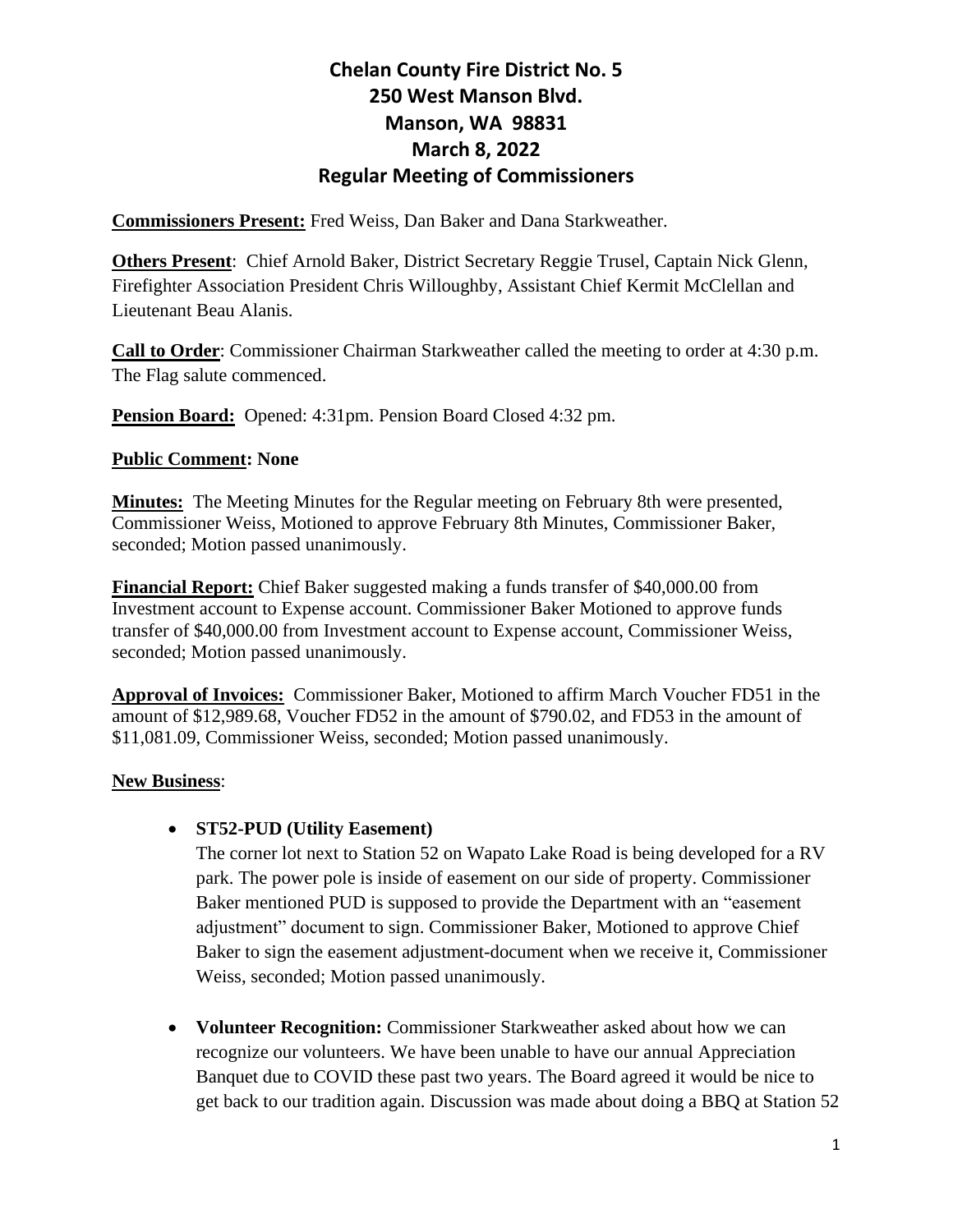**Commissioners Present:** Fred Weiss, Dan Baker and Dana Starkweather.

**Others Present**: Chief Arnold Baker, District Secretary Reggie Trusel, Captain Nick Glenn, Firefighter Association President Chris Willoughby, Assistant Chief Kermit McClellan and Lieutenant Beau Alanis.

**Call to Order**: Commissioner Chairman Starkweather called the meeting to order at 4:30 p.m. The Flag salute commenced.

**Pension Board:** Opened: 4:31pm. Pension Board Closed 4:32 pm.

#### **Public Comment: None**

**Minutes:** The Meeting Minutes for the Regular meeting on February 8th were presented, Commissioner Weiss, Motioned to approve February 8th Minutes, Commissioner Baker, seconded; Motion passed unanimously.

**Financial Report:** Chief Baker suggested making a funds transfer of \$40,000.00 from Investment account to Expense account. Commissioner Baker Motioned to approve funds transfer of \$40,000.00 from Investment account to Expense account, Commissioner Weiss, seconded; Motion passed unanimously.

**Approval of Invoices:** Commissioner Baker, Motioned to affirm March Voucher FD51 in the amount of \$12,989.68, Voucher FD52 in the amount of \$790.02, and FD53 in the amount of \$11,081.09, Commissioner Weiss, seconded; Motion passed unanimously.

#### **New Business**:

#### • **ST52-PUD (Utility Easement)**

The corner lot next to Station 52 on Wapato Lake Road is being developed for a RV park. The power pole is inside of easement on our side of property. Commissioner Baker mentioned PUD is supposed to provide the Department with an "easement adjustment" document to sign. Commissioner Baker, Motioned to approve Chief Baker to sign the easement adjustment-document when we receive it, Commissioner Weiss, seconded; Motion passed unanimously.

• **Volunteer Recognition:** Commissioner Starkweather asked about how we can recognize our volunteers. We have been unable to have our annual Appreciation Banquet due to COVID these past two years. The Board agreed it would be nice to get back to our tradition again. Discussion was made about doing a BBQ at Station 52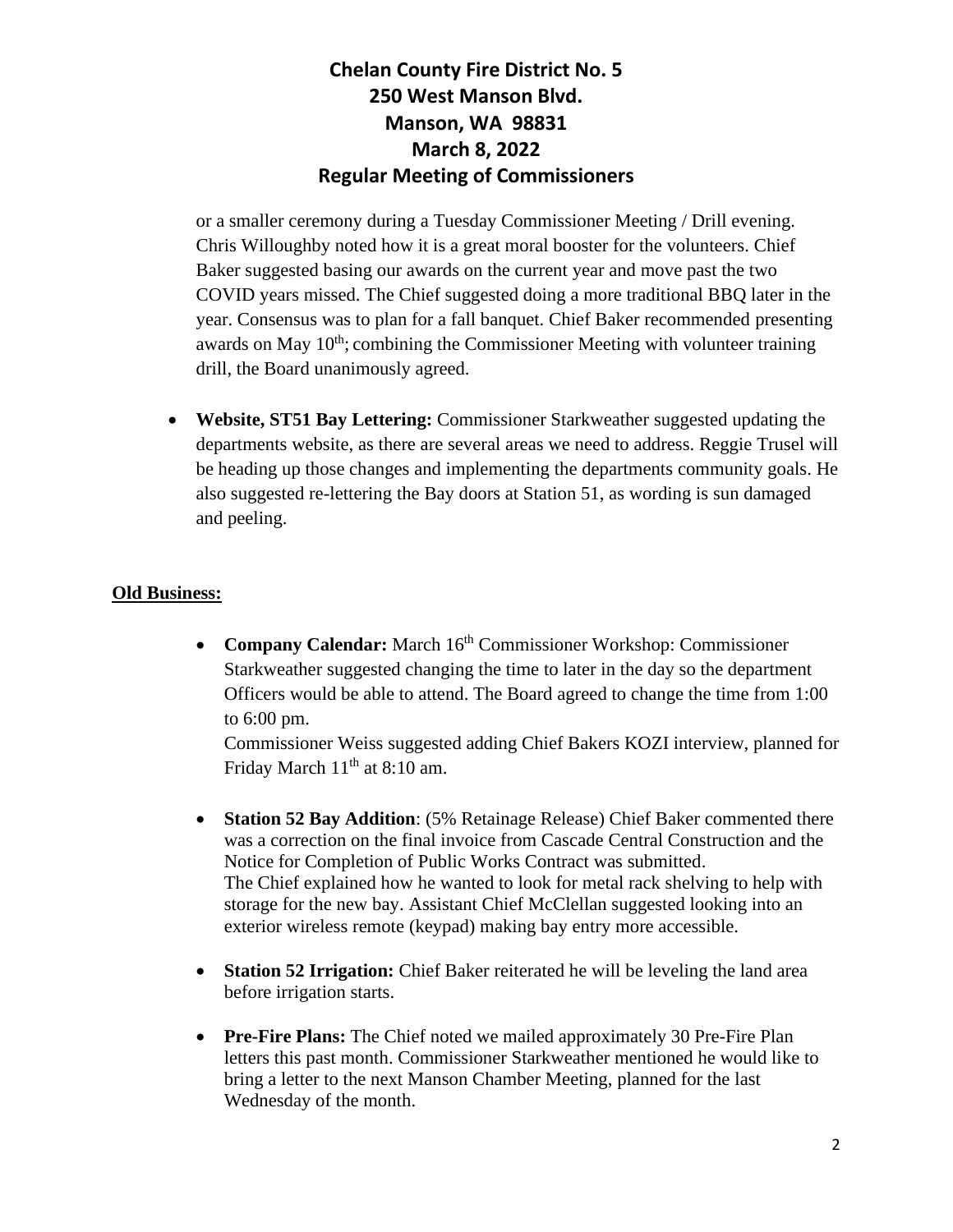or a smaller ceremony during a Tuesday Commissioner Meeting / Drill evening. Chris Willoughby noted how it is a great moral booster for the volunteers. Chief Baker suggested basing our awards on the current year and move past the two COVID years missed. The Chief suggested doing a more traditional BBQ later in the year. Consensus was to plan for a fall banquet. Chief Baker recommended presenting awards on May  $10<sup>th</sup>$ ; combining the Commissioner Meeting with volunteer training drill, the Board unanimously agreed.

• **Website, ST51 Bay Lettering:** Commissioner Starkweather suggested updating the departments website, as there are several areas we need to address. Reggie Trusel will be heading up those changes and implementing the departments community goals. He also suggested re-lettering the Bay doors at Station 51, as wording is sun damaged and peeling.

#### **Old Business:**

• **Company Calendar:** March 16<sup>th</sup> Commissioner Workshop: Commissioner Starkweather suggested changing the time to later in the day so the department Officers would be able to attend. The Board agreed to change the time from 1:00 to 6:00 pm.

Commissioner Weiss suggested adding Chief Bakers KOZI interview, planned for Friday March  $11<sup>th</sup>$  at 8:10 am.

- **Station 52 Bay Addition**: (5% Retainage Release) Chief Baker commented there was a correction on the final invoice from Cascade Central Construction and the Notice for Completion of Public Works Contract was submitted. The Chief explained how he wanted to look for metal rack shelving to help with storage for the new bay. Assistant Chief McClellan suggested looking into an exterior wireless remote (keypad) making bay entry more accessible.
- **Station 52 Irrigation:** Chief Baker reiterated he will be leveling the land area before irrigation starts.
- **Pre-Fire Plans:** The Chief noted we mailed approximately 30 Pre-Fire Plan letters this past month. Commissioner Starkweather mentioned he would like to bring a letter to the next Manson Chamber Meeting, planned for the last Wednesday of the month.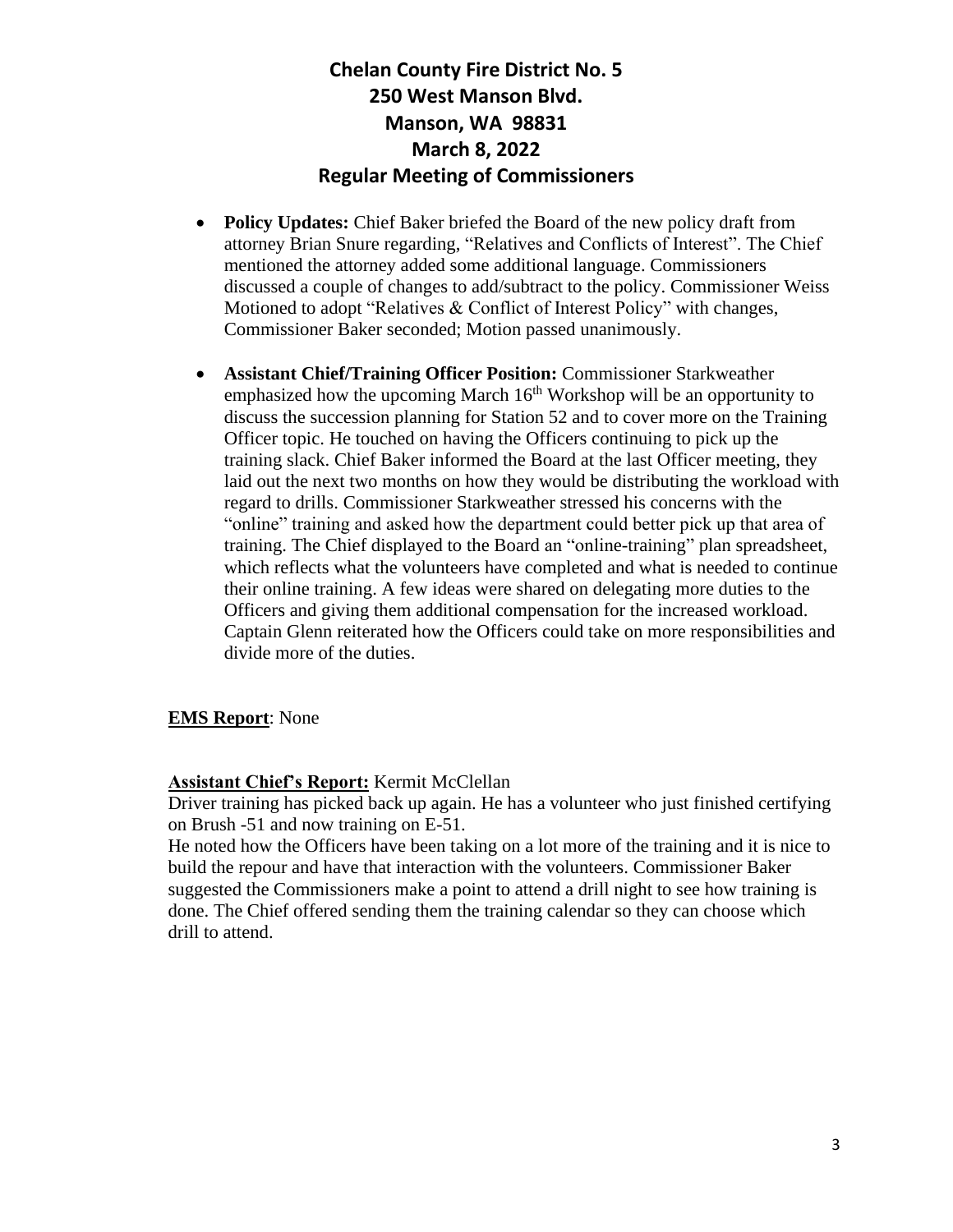- **Policy Updates:** Chief Baker briefed the Board of the new policy draft from attorney Brian Snure regarding, "Relatives and Conflicts of Interest". The Chief mentioned the attorney added some additional language. Commissioners discussed a couple of changes to add/subtract to the policy. Commissioner Weiss Motioned to adopt "Relatives & Conflict of Interest Policy" with changes, Commissioner Baker seconded; Motion passed unanimously.
- **Assistant Chief/Training Officer Position:** Commissioner Starkweather emphasized how the upcoming March  $16<sup>th</sup>$  Workshop will be an opportunity to discuss the succession planning for Station 52 and to cover more on the Training Officer topic. He touched on having the Officers continuing to pick up the training slack. Chief Baker informed the Board at the last Officer meeting, they laid out the next two months on how they would be distributing the workload with regard to drills. Commissioner Starkweather stressed his concerns with the "online" training and asked how the department could better pick up that area of training. The Chief displayed to the Board an "online-training" plan spreadsheet, which reflects what the volunteers have completed and what is needed to continue their online training. A few ideas were shared on delegating more duties to the Officers and giving them additional compensation for the increased workload. Captain Glenn reiterated how the Officers could take on more responsibilities and divide more of the duties.

#### **EMS Report**: None

#### **Assistant Chief's Report:** Kermit McClellan

Driver training has picked back up again. He has a volunteer who just finished certifying on Brush -51 and now training on E-51.

He noted how the Officers have been taking on a lot more of the training and it is nice to build the repour and have that interaction with the volunteers. Commissioner Baker suggested the Commissioners make a point to attend a drill night to see how training is done. The Chief offered sending them the training calendar so they can choose which drill to attend.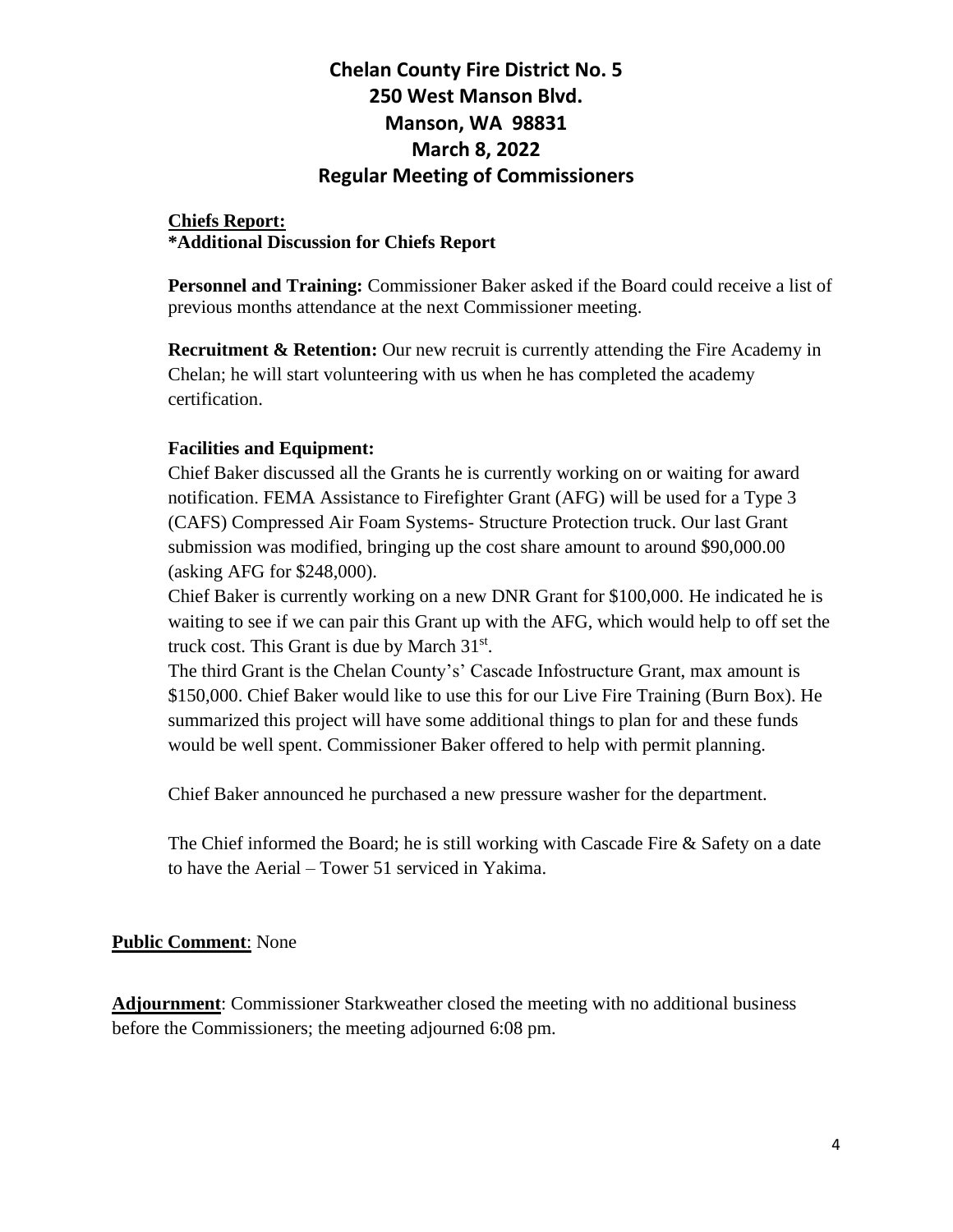#### **Chiefs Report: \*Additional Discussion for Chiefs Report**

**Personnel and Training:** Commissioner Baker asked if the Board could receive a list of previous months attendance at the next Commissioner meeting.

**Recruitment & Retention:** Our new recruit is currently attending the Fire Academy in Chelan; he will start volunteering with us when he has completed the academy certification.

#### **Facilities and Equipment:**

Chief Baker discussed all the Grants he is currently working on or waiting for award notification. FEMA Assistance to Firefighter Grant (AFG) will be used for a Type 3 (CAFS) Compressed Air Foam Systems- Structure Protection truck. Our last Grant submission was modified, bringing up the cost share amount to around \$90,000.00 (asking AFG for \$248,000).

Chief Baker is currently working on a new DNR Grant for \$100,000. He indicated he is waiting to see if we can pair this Grant up with the AFG, which would help to off set the truck cost. This Grant is due by March 31<sup>st</sup>.

The third Grant is the Chelan County's' Cascade Infostructure Grant, max amount is \$150,000. Chief Baker would like to use this for our Live Fire Training (Burn Box). He summarized this project will have some additional things to plan for and these funds would be well spent. Commissioner Baker offered to help with permit planning.

Chief Baker announced he purchased a new pressure washer for the department.

The Chief informed the Board; he is still working with Cascade Fire & Safety on a date to have the Aerial – Tower 51 serviced in Yakima.

#### **Public Comment**: None

**Adjournment**: Commissioner Starkweather closed the meeting with no additional business before the Commissioners; the meeting adjourned 6:08 pm.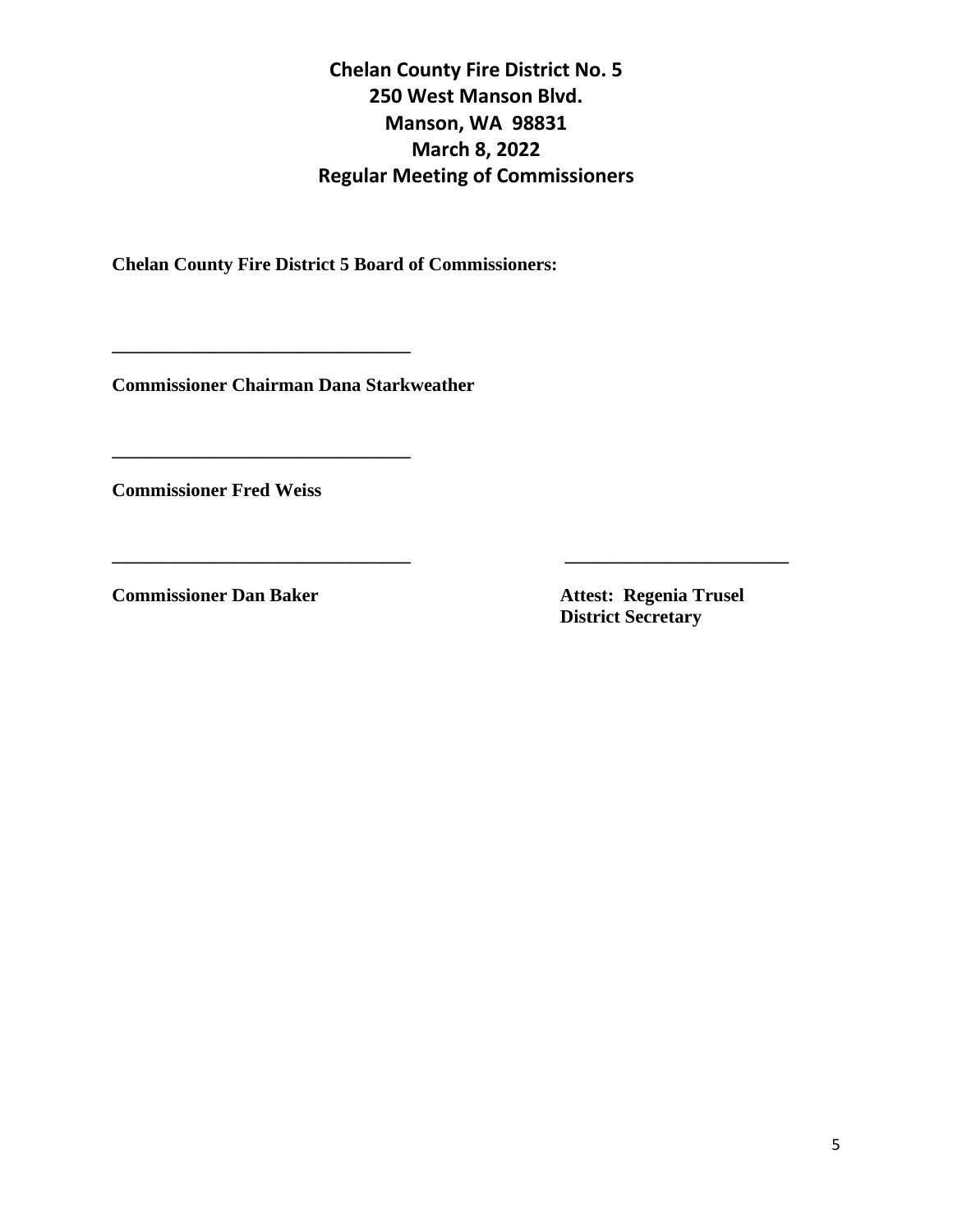**\_\_\_\_\_\_\_\_\_\_\_\_\_\_\_\_\_\_\_\_\_\_\_\_\_\_\_\_\_\_\_\_ \_\_\_\_\_\_\_\_\_\_\_\_\_\_\_\_\_\_\_\_\_\_\_\_**

**Chelan County Fire District 5 Board of Commissioners:**

**Commissioner Chairman Dana Starkweather**

**\_\_\_\_\_\_\_\_\_\_\_\_\_\_\_\_\_\_\_\_\_\_\_\_\_\_\_\_\_\_\_\_**

**\_\_\_\_\_\_\_\_\_\_\_\_\_\_\_\_\_\_\_\_\_\_\_\_\_\_\_\_\_\_\_\_**

**Commissioner Fred Weiss** 

**Commissioner Dan Baker Attest: Regenia Trusel** 

 **District Secretary**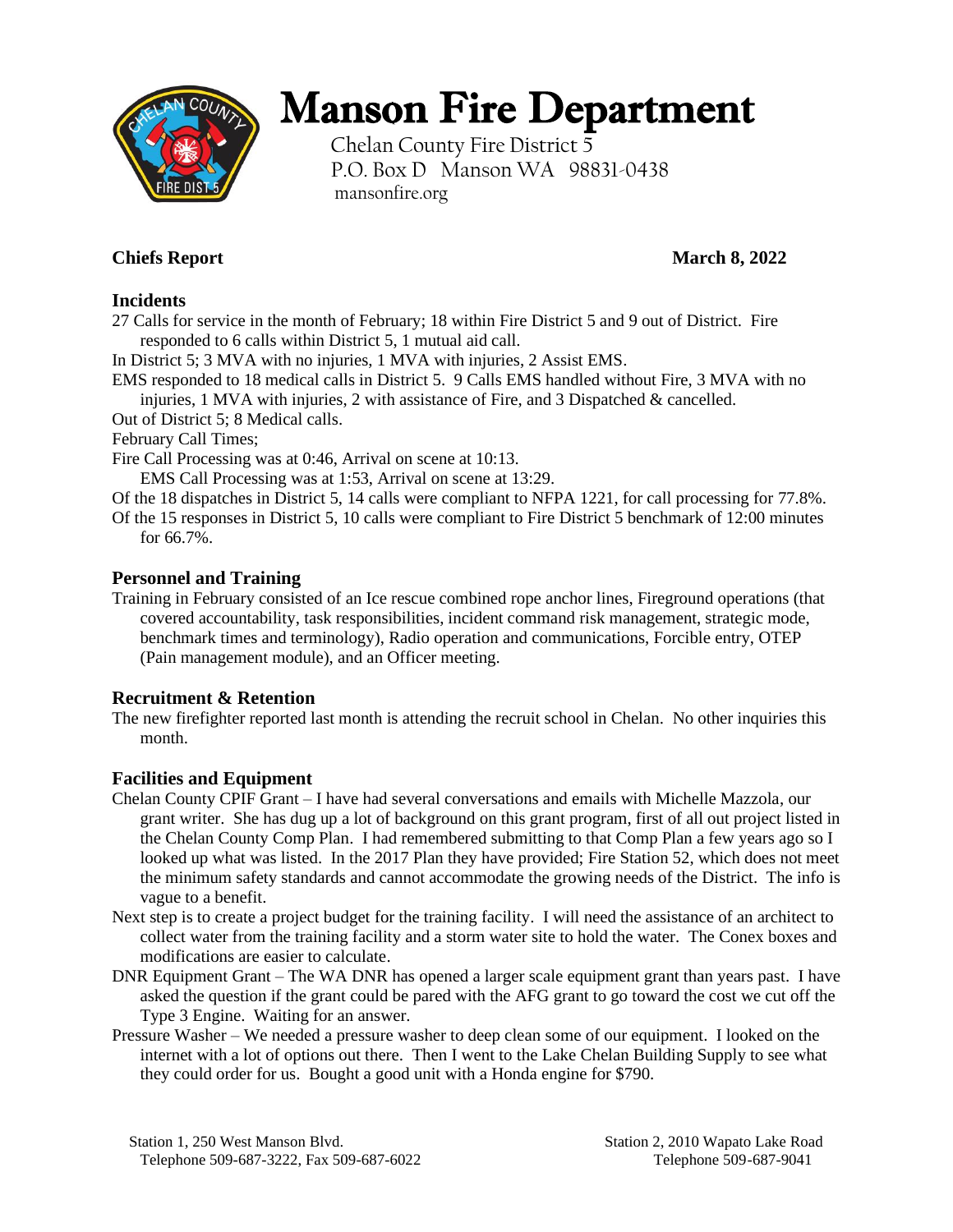

# Manson Fire Department

Chelan County Fire District 5 P.O. Box D Manson WA 98831-0438 mansonfire.org

### **Chiefs Report March 8, 2022**

#### **Incidents**

27 Calls for service in the month of February; 18 within Fire District 5 and 9 out of District. Fire responded to 6 calls within District 5, 1 mutual aid call.

In District 5; 3 MVA with no injuries, 1 MVA with injuries, 2 Assist EMS.

EMS responded to 18 medical calls in District 5. 9 Calls EMS handled without Fire, 3 MVA with no injuries, 1 MVA with injuries, 2 with assistance of Fire, and 3 Dispatched & cancelled.

Out of District 5; 8 Medical calls.

February Call Times;

Fire Call Processing was at 0:46, Arrival on scene at 10:13.

EMS Call Processing was at 1:53, Arrival on scene at 13:29.

Of the 18 dispatches in District 5, 14 calls were compliant to NFPA 1221, for call processing for 77.8%.

Of the 15 responses in District 5, 10 calls were compliant to Fire District 5 benchmark of 12:00 minutes for 66.7%.

#### **Personnel and Training**

Training in February consisted of an Ice rescue combined rope anchor lines, Fireground operations (that covered accountability, task responsibilities, incident command risk management, strategic mode, benchmark times and terminology), Radio operation and communications, Forcible entry, OTEP (Pain management module), and an Officer meeting.

#### **Recruitment & Retention**

The new firefighter reported last month is attending the recruit school in Chelan. No other inquiries this month.

#### **Facilities and Equipment**

- Chelan County CPIF Grant I have had several conversations and emails with Michelle Mazzola, our grant writer. She has dug up a lot of background on this grant program, first of all out project listed in the Chelan County Comp Plan. I had remembered submitting to that Comp Plan a few years ago so I looked up what was listed. In the 2017 Plan they have provided; Fire Station 52, which does not meet the minimum safety standards and cannot accommodate the growing needs of the District. The info is vague to a benefit.
- Next step is to create a project budget for the training facility. I will need the assistance of an architect to collect water from the training facility and a storm water site to hold the water. The Conex boxes and modifications are easier to calculate.
- DNR Equipment Grant The WA DNR has opened a larger scale equipment grant than years past. I have asked the question if the grant could be pared with the AFG grant to go toward the cost we cut off the Type 3 Engine. Waiting for an answer.
- Pressure Washer We needed a pressure washer to deep clean some of our equipment. I looked on the internet with a lot of options out there. Then I went to the Lake Chelan Building Supply to see what they could order for us. Bought a good unit with a Honda engine for \$790.